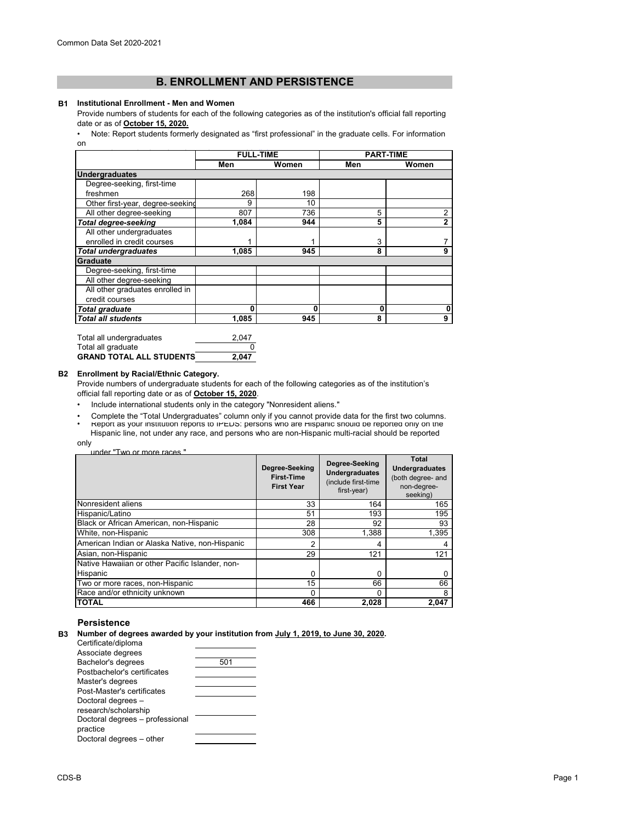# **B. ENROLLMENT AND PERSISTENCE**

### **B1 Institutional Enrollment - Men and Women**

Provide numbers of students for each of the following categories as of the institution's official fall reporting date or as of **October 15, 2020.**

[• Note: Report students formerly designated as "first professional" in the graduate cells. For information](https://nces.ed.gov/ipeds/pdf/Reporting_Study_Abroad%20Students_5.31.17.pdf)  [on](https://nces.ed.gov/ipeds/pdf/Reporting_Study_Abroad%20Students_5.31.17.pdf) 

|                                  | <b>FULL-TIME</b> |       | <b>PART-TIME</b> |       |
|----------------------------------|------------------|-------|------------------|-------|
|                                  | Men              | Women | Men              | Women |
| <b>Undergraduates</b>            |                  |       |                  |       |
| Degree-seeking, first-time       |                  |       |                  |       |
| freshmen                         | 268              | 198   |                  |       |
| Other first-year, degree-seeking | 9                | 10    |                  |       |
| All other degree-seeking         | 807              | 736   | 5                | 2     |
| <b>Total degree-seeking</b>      | 1.084            | 944   | 5                | 2     |
| All other undergraduates         |                  |       |                  |       |
| enrolled in credit courses       |                  |       | 3                |       |
| <b>Total undergraduates</b>      | 1.085            | 945   | 8                | 9     |
| Graduate                         |                  |       |                  |       |
| Degree-seeking, first-time       |                  |       |                  |       |
| All other degree-seeking         |                  |       |                  |       |
| All other graduates enrolled in  |                  |       |                  |       |
| credit courses                   |                  |       |                  |       |
| <b>Total graduate</b>            | 0                | 0     | 0                | 0     |
| <b>Total all students</b>        | 1.085            | 945   | 8                | 9     |

| Total all undergraduates        | 2.047 |
|---------------------------------|-------|
| Total all graduate              |       |
| <b>GRAND TOTAL ALL STUDENTS</b> | 2.047 |

## **B2 Enrollment by Racial/Ethnic Category.**

Provide numbers of undergraduate students for each of the following categories as of the institution's official fall reporting date or as of **October 15, 2020**.

- Include international students only in the category "Nonresident aliens."
- Report as your institution reports to IPEDS: persons who are Hispanic should be reported only on the Hispanic line, not under any race, and persons who are non-Hispanic multi-racial should be reported • Complete the "Total Undergraduates" column only if you cannot provide data for the first two columns.

only

| under "Two or more races" |  |
|---------------------------|--|
|                           |  |

|                                                 | Degree-Seeking<br><b>First-Time</b><br><b>First Year</b> | Degree-Seeking<br><b>Undergraduates</b><br>(include first-time<br>first-year) | Total<br><b>Undergraduates</b><br>(both degree- and<br>non-degree-<br>seeking) |
|-------------------------------------------------|----------------------------------------------------------|-------------------------------------------------------------------------------|--------------------------------------------------------------------------------|
| Nonresident aliens                              | 33                                                       | 164                                                                           | 165                                                                            |
| Hispanic/Latino                                 | 51                                                       | 193                                                                           | 195                                                                            |
| Black or African American, non-Hispanic         | 28                                                       | 92                                                                            | 93                                                                             |
| White, non-Hispanic                             | 308                                                      | 1.388                                                                         | 1,395                                                                          |
| American Indian or Alaska Native, non-Hispanic  | 2                                                        | 4                                                                             |                                                                                |
| Asian, non-Hispanic                             | 29                                                       | 121                                                                           | 121                                                                            |
| Native Hawaiian or other Pacific Islander, non- |                                                          |                                                                               |                                                                                |
| Hispanic                                        | N                                                        | 0                                                                             |                                                                                |
| Two or more races, non-Hispanic                 | 15                                                       | 66                                                                            | 66                                                                             |
| Race and/or ethnicity unknown                   | 0                                                        | 0                                                                             |                                                                                |
| <b>TOTAL</b>                                    | 466                                                      | 2,028                                                                         | 2.047                                                                          |

# **Persistence**

| 501 |
|-----|
|     |
|     |
|     |
|     |
|     |
|     |
|     |
|     |
|     |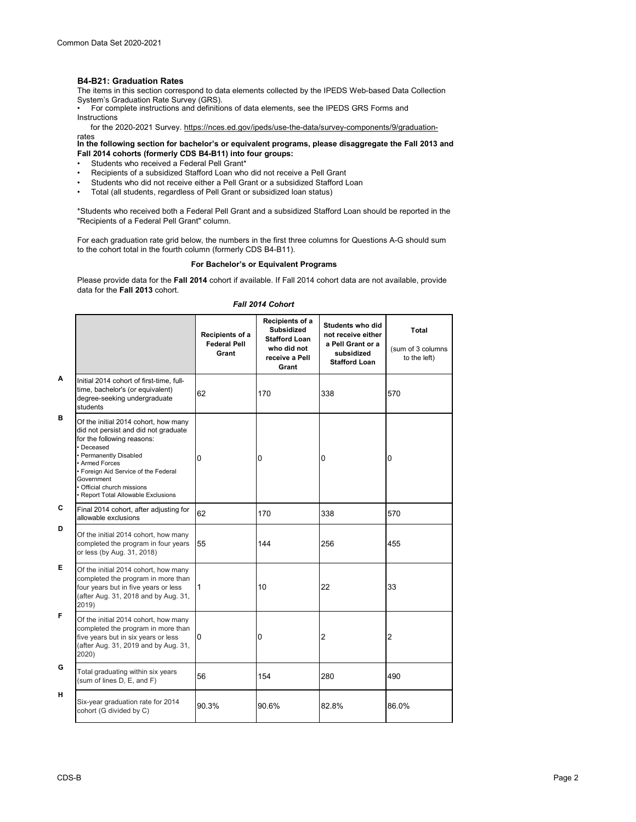## **B4-B21: Graduation Rates**

The items in this section correspond to data elements collected by the IPEDS Web-based Data Collection

System's Graduation Rate Survey (GRS). • For complete instructions and definitions of data elements, see the IPEDS GRS Forms and Instructions

for the 2020-2021 Survey. https://nces.ed.gov/ipeds/use-the-data/survey-components/9/graduation-

rates<br>In the following section for bachelor's or equivalent programs, please disaggregate the Fall 2013 and **Fall 2014 cohorts (formerly CDS B4-B11) into four groups:**

- Students who received a Federal Pell Grant\*
- Recipients of a subsidized Stafford Loan who did not receive a Pell Grant<br>• Students who did not receive either a Pell Grant or a subsidized Stafford L
- Students who did not receive either a Pell Grant or a subsidized Stafford Loan<br>• Total (all students, regardless of Pell Grant or subsidized Ioan status)
- Total (all students, regardless of Pell Grant or subsidized loan status)

\*Students who received both a Federal Pell Grant and a subsidized Stafford Loan should be reported in the "Recipients of a Federal Pell Grant" column.

For each graduation rate grid below, the numbers in the first three columns for Questions A-G should sum to the cohort total in the fourth column (formerly CDS B4-B11).

## **For Bachelor's or Equivalent Programs**

Please provide data for the **Fall 2014** cohort if available. If Fall 2014 cohort data are not available, provide data for the **Fall 2013** cohort.

#### *Fall 2014 Cohort*

|   |                                                                                                                                                                                                                                                                                                 | Recipients of a<br><b>Federal Pell</b><br>Grant | Recipients of a<br><b>Subsidized</b><br><b>Stafford Loan</b><br>who did not<br>receive a Pell<br>Grant | Students who did<br>not receive either<br>a Pell Grant or a<br>subsidized<br><b>Stafford Loan</b> | Total<br>(sum of 3 columns<br>to the left) |
|---|-------------------------------------------------------------------------------------------------------------------------------------------------------------------------------------------------------------------------------------------------------------------------------------------------|-------------------------------------------------|--------------------------------------------------------------------------------------------------------|---------------------------------------------------------------------------------------------------|--------------------------------------------|
| A | Initial 2014 cohort of first-time, full-<br>time, bachelor's (or equivalent)<br>degree-seeking undergraduate<br>students                                                                                                                                                                        | 62                                              | 170                                                                                                    | 338                                                                                               | 570                                        |
| в | Of the initial 2014 cohort, how many<br>did not persist and did not graduate<br>for the following reasons:<br>· Deceased<br>· Permanently Disabled<br>• Armed Forces<br>• Foreign Aid Service of the Federal<br>Government<br>• Official church missions<br>• Report Total Allowable Exclusions | 0                                               | 0                                                                                                      | 0                                                                                                 | 0                                          |
| C | Final 2014 cohort, after adjusting for<br>allowable exclusions                                                                                                                                                                                                                                  | 62                                              | 170                                                                                                    | 338                                                                                               | 570                                        |
| D | Of the initial 2014 cohort, how many<br>completed the program in four years<br>or less (by Aug. 31, 2018)                                                                                                                                                                                       | 55                                              | 144                                                                                                    | 256                                                                                               | 455                                        |
| Е | Of the initial 2014 cohort, how many<br>completed the program in more than<br>four years but in five years or less<br>(after Aug. 31, 2018 and by Aug. 31,<br>2019)                                                                                                                             | $\mathbf{1}$                                    | 10                                                                                                     | 22                                                                                                | 33                                         |
| F | Of the initial 2014 cohort, how many<br>completed the program in more than<br>five years but in six years or less<br>(after Aug. 31, 2019 and by Aug. 31,<br>2020)                                                                                                                              | 0                                               | 0                                                                                                      | 2                                                                                                 | $\overline{2}$                             |
| G | Total graduating within six years<br>(sum of lines D, E, and F)                                                                                                                                                                                                                                 | 56                                              | 154                                                                                                    | 280                                                                                               | 490                                        |
| н | Six-year graduation rate for 2014<br>cohort (G divided by C)                                                                                                                                                                                                                                    | 90.3%                                           | 90.6%                                                                                                  | 82.8%                                                                                             | 86.0%                                      |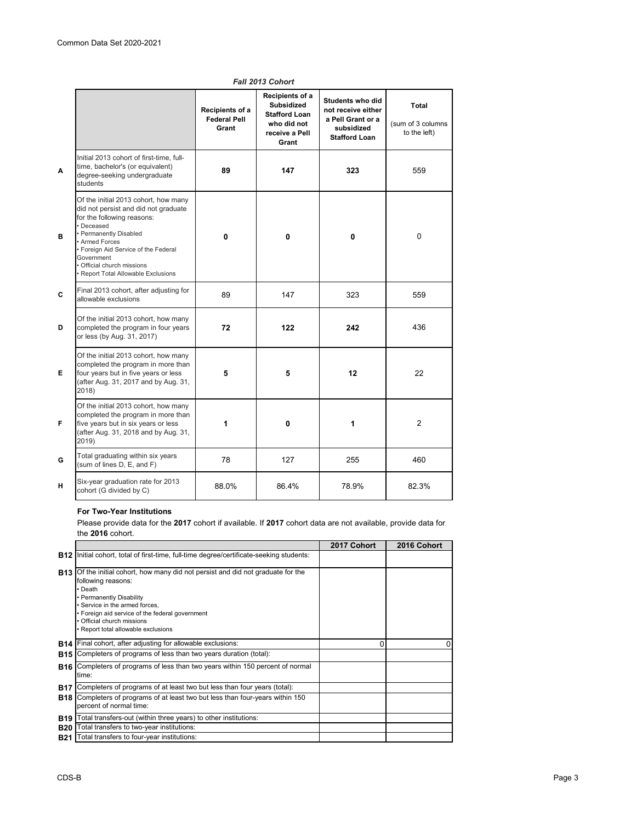|   |                                                                                                                                                                                                                                                                                                 | Recipients of a<br><b>Federal Pell</b><br>Grant | Recipients of a<br><b>Subsidized</b><br><b>Stafford Loan</b><br>who did not<br>receive a Pell<br>Grant | Students who did<br>not receive either<br>a Pell Grant or a<br>subsidized<br><b>Stafford Loan</b> | Total<br>(sum of 3 columns<br>to the left) |
|---|-------------------------------------------------------------------------------------------------------------------------------------------------------------------------------------------------------------------------------------------------------------------------------------------------|-------------------------------------------------|--------------------------------------------------------------------------------------------------------|---------------------------------------------------------------------------------------------------|--------------------------------------------|
| A | Initial 2013 cohort of first-time, full-<br>time, bachelor's (or equivalent)<br>degree-seeking undergraduate<br>students                                                                                                                                                                        | 89                                              | 147                                                                                                    | 323                                                                                               | 559                                        |
| в | Of the initial 2013 cohort, how many<br>did not persist and did not graduate<br>for the following reasons:<br>• Deceased<br>• Permanently Disabled<br>• Armed Forces<br>• Foreign Aid Service of the Federal<br>Government<br>· Official church missions<br>· Report Total Allowable Exclusions | 0                                               | 0                                                                                                      | 0                                                                                                 | $\mathbf 0$                                |
| C | Final 2013 cohort, after adjusting for<br>allowable exclusions                                                                                                                                                                                                                                  | 89                                              | 147                                                                                                    | 323                                                                                               | 559                                        |
| D | Of the initial 2013 cohort, how many<br>completed the program in four years<br>or less (by Aug. 31, 2017)                                                                                                                                                                                       | 72                                              | 122                                                                                                    | 242                                                                                               | 436                                        |
| Е | Of the initial 2013 cohort, how many<br>completed the program in more than<br>four years but in five years or less<br>(after Aug. 31, 2017 and by Aug. 31,<br>2018)                                                                                                                             | 5                                               | 5                                                                                                      | 12                                                                                                | 22                                         |
| F | Of the initial 2013 cohort, how many<br>completed the program in more than<br>five years but in six years or less<br>(after Aug. 31, 2018 and by Aug. 31,<br>2019)                                                                                                                              | 1                                               | 0                                                                                                      | 1                                                                                                 | $\overline{2}$                             |
| G | Total graduating within six years<br>(sum of lines D, E, and F)                                                                                                                                                                                                                                 | 78                                              | 127                                                                                                    | 255                                                                                               | 460                                        |
| н | Six-year graduation rate for 2013<br>cohort (G divided by C)                                                                                                                                                                                                                                    | 88.0%                                           | 86.4%                                                                                                  | 78.9%                                                                                             | 82.3%                                      |

# *Fall 2013 Cohort*

# **For Two-Year Institutions**

Please provide data for the **2017** cohort if available. If **2017** cohort data are not available, provide data for the **2016** cohort.

|            |                                                                                                                                                                                                                                                                                                                | 2017 Cohort | 2016 Cohort |
|------------|----------------------------------------------------------------------------------------------------------------------------------------------------------------------------------------------------------------------------------------------------------------------------------------------------------------|-------------|-------------|
|            | <b>B12</b> Initial cohort, total of first-time, full-time degree/certificate-seeking students:                                                                                                                                                                                                                 |             |             |
|            | <b>B13</b> Of the initial cohort, how many did not persist and did not graduate for the<br>following reasons:<br>• Death<br>• Permanently Disability<br>· Service in the armed forces.<br>. Foreign aid service of the federal government<br>• Official church missions<br>· Report total allowable exclusions |             |             |
|            | <b>B14</b> Final cohort, after adjusting for allowable exclusions:                                                                                                                                                                                                                                             | O           | 0           |
| B15        | Completers of programs of less than two years duration (total):                                                                                                                                                                                                                                                |             |             |
|            | <b>B16</b> Completers of programs of less than two years within 150 percent of normal<br>time:                                                                                                                                                                                                                 |             |             |
| <b>B17</b> | Completers of programs of at least two but less than four years (total):                                                                                                                                                                                                                                       |             |             |
|            | <b>B18</b> Completers of programs of at least two but less than four-years within 150<br>percent of normal time:                                                                                                                                                                                               |             |             |
| <b>B19</b> | Total transfers-out (within three years) to other institutions:                                                                                                                                                                                                                                                |             |             |
| <b>B20</b> | Total transfers to two-year institutions:                                                                                                                                                                                                                                                                      |             |             |
| <b>B21</b> | Total transfers to four-year institutions:                                                                                                                                                                                                                                                                     |             |             |
|            |                                                                                                                                                                                                                                                                                                                |             |             |